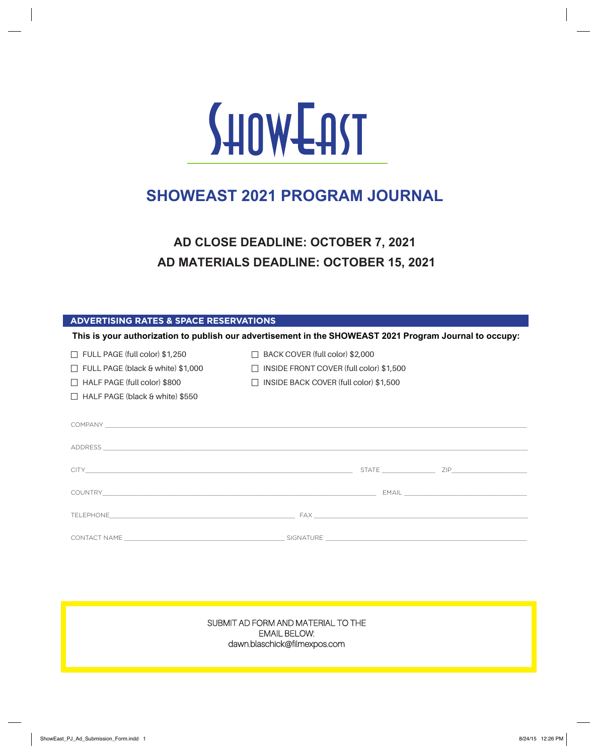

# **SHOWEAST 2021 PROGRAM JOURNAL**

**AD CLOSE DEADLINE: OCTOBER 7, 2021 AD MATERIALS DEADLINE: OCTOBER 15, 2021**

| <b>ADVERTISING RATES &amp; SPACE RESERVATIONS</b> |  |  |
|---------------------------------------------------|--|--|
|                                                   |  |  |
|                                                   |  |  |

| This is your authorization to publish our advertisement in the SHOWEAST 2021 Program Journal to occupy:                                                                                                                        |                                                                                                                                      |                            |  |  |  |  |
|--------------------------------------------------------------------------------------------------------------------------------------------------------------------------------------------------------------------------------|--------------------------------------------------------------------------------------------------------------------------------------|----------------------------|--|--|--|--|
| $\Box$ FULL PAGE (full color) \$1,250<br>$\Box$ FULL PAGE (black & white) \$1,000<br>$\Box$ HALF PAGE (full color) \$800<br>$\Box$ HALF PAGE (black & white) \$550                                                             | $\Box$ BACK COVER (full color) \$2,000<br>$\Box$ INSIDE FRONT COVER (full color) \$1,500<br>□ INSIDE BACK COVER (full color) \$1,500 |                            |  |  |  |  |
| COMPANY LEADERS AND RESIDENCE AND RESIDENCE AND RESIDENCE AND RESIDENCE AND RESIDENCE AND RESIDENCE AND RESIDENCE AND RESIDENCE AND RESIDENCE AND RESIDENCE AND RESIDENCE AND RESIDENCE AND RESIDENCE AND RESIDENCE AND RESIDE |                                                                                                                                      |                            |  |  |  |  |
| ADDRESS <b>AND ALL AND AND A CONSTRUCTION</b> CONTINUES.                                                                                                                                                                       |                                                                                                                                      |                            |  |  |  |  |
|                                                                                                                                                                                                                                |                                                                                                                                      |                            |  |  |  |  |
|                                                                                                                                                                                                                                |                                                                                                                                      |                            |  |  |  |  |
|                                                                                                                                                                                                                                |                                                                                                                                      |                            |  |  |  |  |
| CONTACT NAME CONTACT AND THE CONTACT NAME OF THE CONTACT OF THE CONTACT OF THE CONTACT OF THE CONTACT OF THE CONTACT OF THE CONTACT OF THE CONTACT OF THE CONTACT OF THE CONTACT OF THE CONTACT OF THE CONTACT OF THE CONTACT  |                                                                                                                                      | SIGNATURE <b>SIGNATURE</b> |  |  |  |  |

SUBMIT AD FORM AND MATERIAL TO THE EMAIL BELOW: dawn.blaschick@filmexpos.com